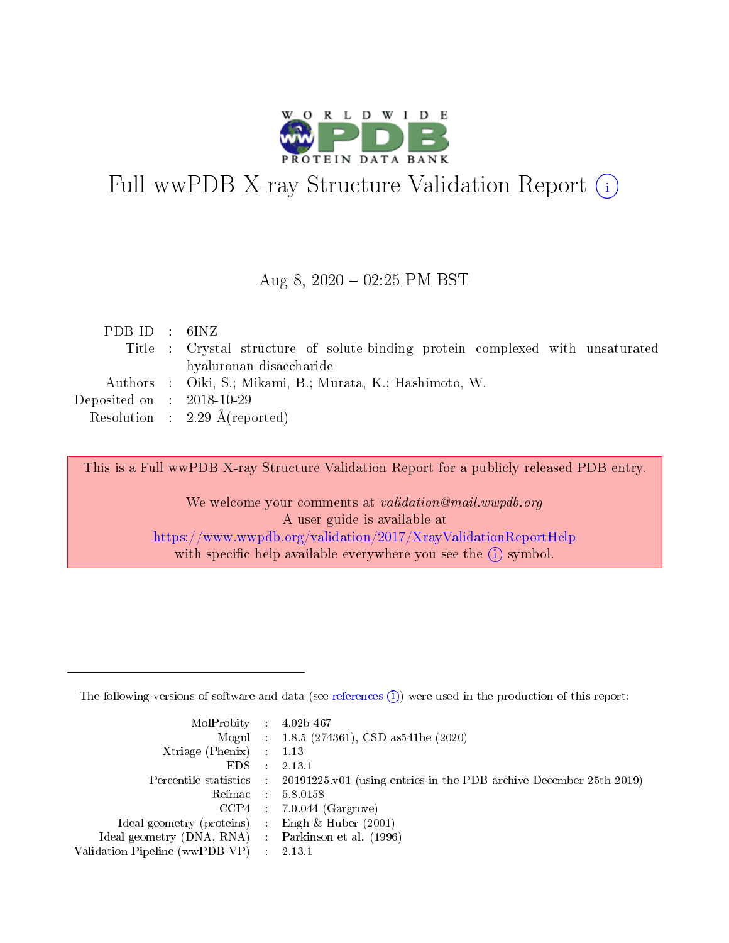

# Full wwPDB X-ray Structure Validation Report (i)

#### Aug 8,  $2020 - 02:25$  PM BST

| PDBID : 6INZ                |                                                                                |
|-----------------------------|--------------------------------------------------------------------------------|
|                             | Title : Crystal structure of solute-binding protein complexed with unsaturated |
|                             | hyaluronan disaccharide                                                        |
|                             | Authors : Oiki, S.; Mikami, B.; Murata, K.; Hashimoto, W.                      |
| Deposited on : $2018-10-29$ |                                                                                |
|                             | Resolution : $2.29 \text{ Å}$ (reported)                                       |

This is a Full wwPDB X-ray Structure Validation Report for a publicly released PDB entry.

We welcome your comments at validation@mail.wwpdb.org A user guide is available at <https://www.wwpdb.org/validation/2017/XrayValidationReportHelp> with specific help available everywhere you see the  $(i)$  symbol.

The following versions of software and data (see [references](https://www.wwpdb.org/validation/2017/XrayValidationReportHelp#references)  $(1)$ ) were used in the production of this report:

| $MolProbability$ : 4.02b-467                      |                             |                                                                                            |
|---------------------------------------------------|-----------------------------|--------------------------------------------------------------------------------------------|
|                                                   |                             | Mogul : $1.8.5$ (274361), CSD as 541be (2020)                                              |
| Xtriage (Phenix) $: 1.13$                         |                             |                                                                                            |
| EDS.                                              | $\mathcal{L}$               | 2.13.1                                                                                     |
|                                                   |                             | Percentile statistics : 20191225.v01 (using entries in the PDB archive December 25th 2019) |
| Refmac : 5.8.0158                                 |                             |                                                                                            |
|                                                   |                             | $CCP4$ 7.0.044 (Gargrove)                                                                  |
| Ideal geometry (proteins)                         | $\mathcal{L}_{\mathcal{L}}$ | Engh $\&$ Huber (2001)                                                                     |
| Ideal geometry (DNA, RNA) Parkinson et al. (1996) |                             |                                                                                            |
| Validation Pipeline (wwPDB-VP) : 2.13.1           |                             |                                                                                            |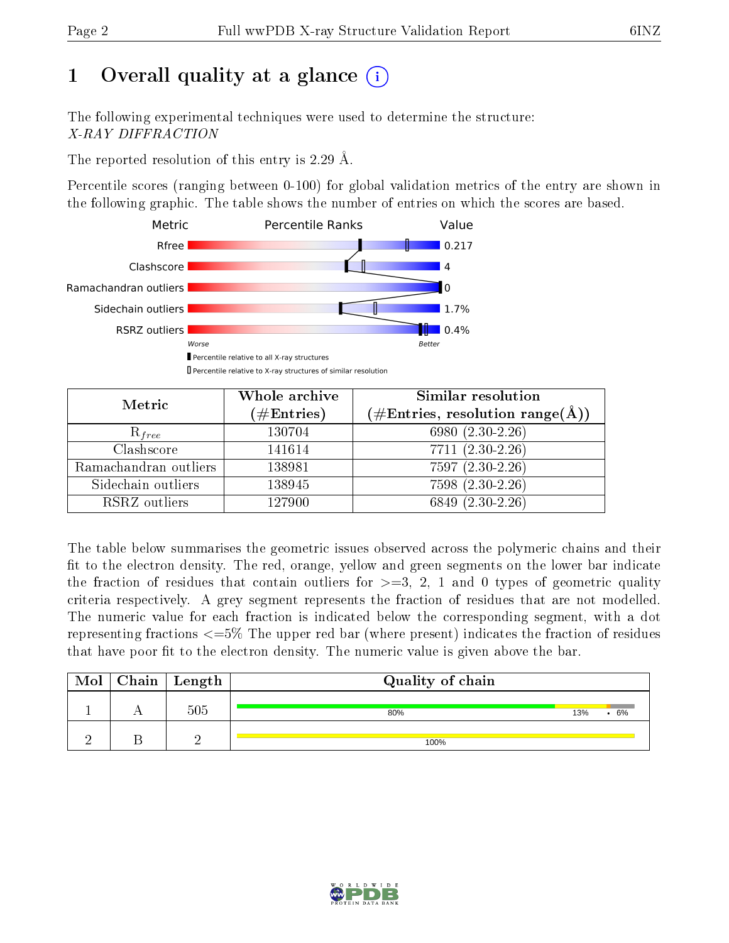# 1 [O](https://www.wwpdb.org/validation/2017/XrayValidationReportHelp#overall_quality)verall quality at a glance  $(i)$

The following experimental techniques were used to determine the structure: X-RAY DIFFRACTION

The reported resolution of this entry is 2.29 Å.

Percentile scores (ranging between 0-100) for global validation metrics of the entry are shown in the following graphic. The table shows the number of entries on which the scores are based.



| Metric                | Whole archive<br>$(\#\mathrm{Entries})$ | Similar resolution<br>$(\#\text{Entries}, \, \text{resolution range}(\textup{\AA}))$ |
|-----------------------|-----------------------------------------|--------------------------------------------------------------------------------------|
| $R_{free}$            | 130704                                  | 6980 $(2.30-2.26)$                                                                   |
| Clashscore            | 141614                                  | $7711 (2.30 - 2.26)$                                                                 |
| Ramachandran outliers | 138981                                  | $7597(2.30-2.26)$                                                                    |
| Sidechain outliers    | 138945                                  | 7598 (2.30-2.26)                                                                     |
| RSRZ outliers         | 127900                                  | $6849(2.30-2.26)$                                                                    |

The table below summarises the geometric issues observed across the polymeric chains and their fit to the electron density. The red, orange, yellow and green segments on the lower bar indicate the fraction of residues that contain outliers for  $>=3, 2, 1$  and 0 types of geometric quality criteria respectively. A grey segment represents the fraction of residues that are not modelled. The numeric value for each fraction is indicated below the corresponding segment, with a dot representing fractions  $\epsilon=5\%$  The upper red bar (where present) indicates the fraction of residues that have poor fit to the electron density. The numeric value is given above the bar.

| Mol | $Chain \  Length$ | Quality of chain |     |    |  |  |  |  |
|-----|-------------------|------------------|-----|----|--|--|--|--|
|     | 505               | 80%              | 13% | 6% |  |  |  |  |
|     | $\Omega$          | 100%             |     |    |  |  |  |  |

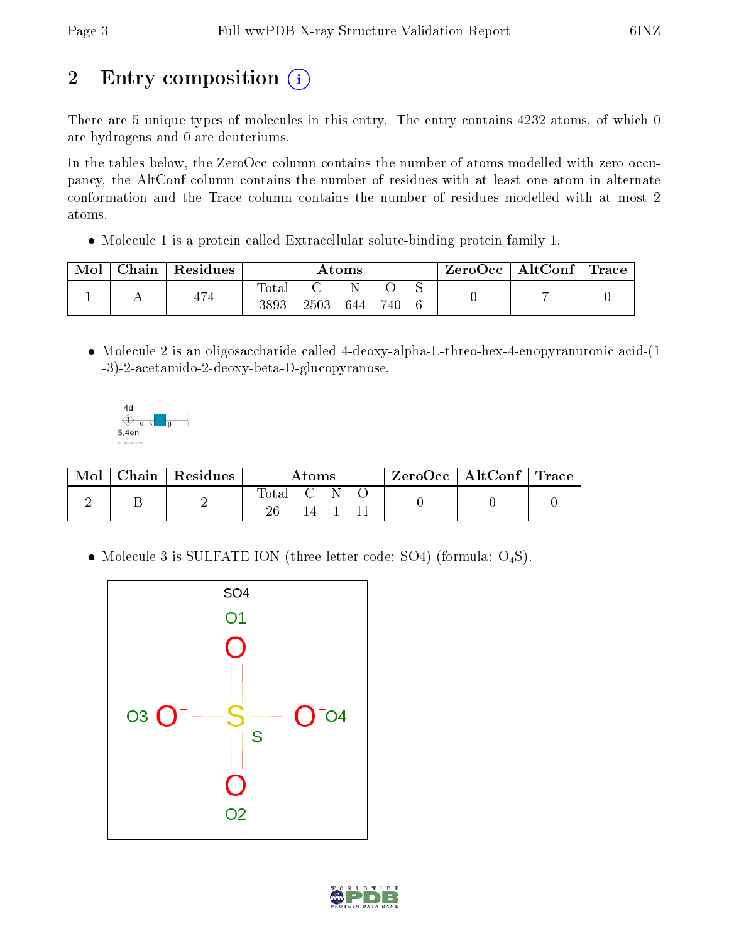# 2 Entry composition (i)

There are 5 unique types of molecules in this entry. The entry contains 4232 atoms, of which 0 are hydrogens and 0 are deuteriums.

In the tables below, the ZeroOcc column contains the number of atoms modelled with zero occupancy, the AltConf column contains the number of residues with at least one atom in alternate conformation and the Trace column contains the number of residues modelled with at most 2 atoms.

• Molecule 1 is a protein called Extracellular solute-binding protein family 1.

| Mol | $\perp$ Chain $\perp$ | Residues | Atoms          |      |     |     | $\text{ZeroOcc} \mid \text{AltConf} \mid \text{Trace}$ |  |  |
|-----|-----------------------|----------|----------------|------|-----|-----|--------------------------------------------------------|--|--|
|     |                       | 474      | $_{\rm Total}$ |      |     |     |                                                        |  |  |
|     |                       |          | 3893           | 2503 | 644 | 740 |                                                        |  |  |

• Molecule 2 is an oligosaccharide called 4-deoxy-alpha-L-threo-hex-4-enopyranuronic acid-(1) -3)-2-acetamido-2-deoxy-beta-D-glucopyranose.



| Mol | Chain   Residues | Atoms     |  | $\text{ZeroOcc} \mid \text{AltConf} \mid \text{Trace}$ |  |  |  |
|-----|------------------|-----------|--|--------------------------------------------------------|--|--|--|
|     |                  | Total C N |  |                                                        |  |  |  |

• Molecule 3 is SULFATE ION (three-letter code: SO4) (formula:  $O_4S$ ).



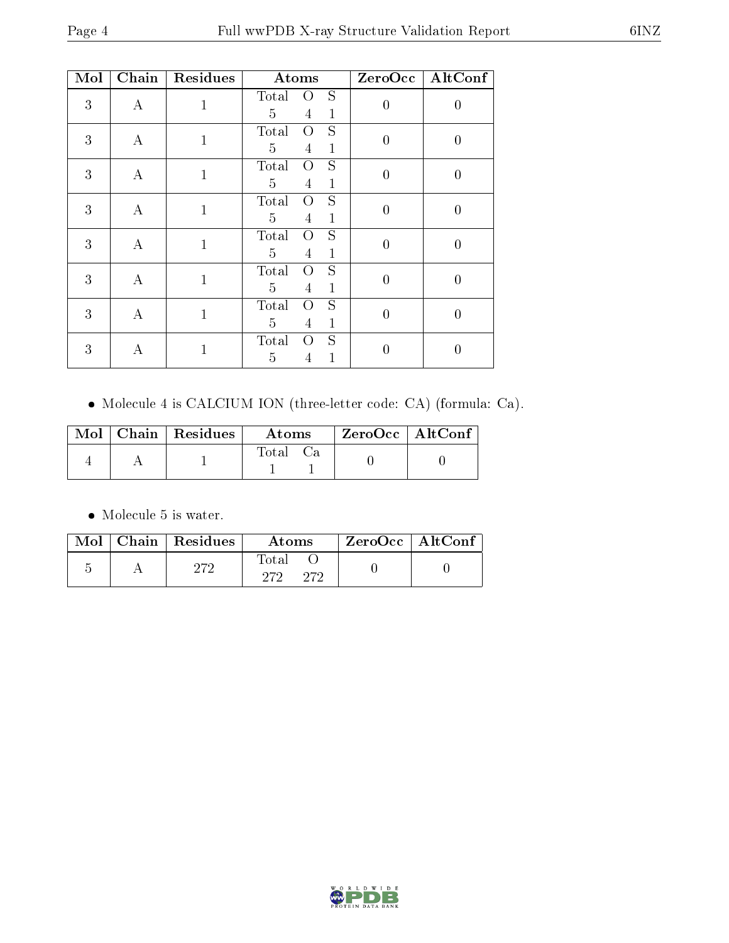| Mol | Chain            | Residues     | Atoms                                                                      | ZeroOcc        | AltConf          |
|-----|------------------|--------------|----------------------------------------------------------------------------|----------------|------------------|
| 3   | $\boldsymbol{A}$ | $\mathbf{1}$ | S<br>Total<br>O<br>5<br>$\overline{4}$<br>$\mathbf{1}$                     | $\overline{0}$ | $\boldsymbol{0}$ |
| 3   | $\boldsymbol{A}$ | $\mathbf{1}$ | S<br>Total<br>$\Omega$<br>$\mathbf{1}$<br>$\overline{5}$<br>$\overline{4}$ | $\overline{0}$ | $\boldsymbol{0}$ |
| 3   | $\bf{A}$         | $\mathbf{1}$ | S<br>Total<br>$\Omega$<br>5<br>$\mathbf{1}$<br>4                           | $\overline{0}$ | $\overline{0}$   |
| 3   | $\bf{A}$         | $\mathbf{1}$ | S<br>$\Omega$<br>Total<br>5<br>$\overline{4}$<br>$\mathbf{1}$              | $\overline{0}$ | $\boldsymbol{0}$ |
| 3   | $\boldsymbol{A}$ | $\mathbf{1}$ | S<br>Total<br>$\Omega$<br>$\overline{5}$<br>$\mathbf{1}$<br>$\overline{4}$ | $\overline{0}$ | $\overline{0}$   |
| 3   | $\boldsymbol{A}$ | $\mathbf{1}$ | S<br>Total<br>O<br>5<br>$\mathbf{1}$<br>4                                  | $\overline{0}$ | $\overline{0}$   |
| 3   | $\bf{A}$         | $\mathbf{1}$ | S<br>Total<br>O<br>5<br>$\mathbf{1}$<br>$\overline{4}$                     | $\overline{0}$ | $\overline{0}$   |
| 3   | А                | $\mathbf{1}$ | S<br>Total<br>O<br>5<br>1<br>4                                             | $\theta$       | 0                |

Molecule 4 is CALCIUM ION (three-letter code: CA) (formula: Ca).

|  | $\text{Mol}$   Chain   Residues | <b>Atoms</b> | $^\top$ ZeroOcc   AltConf |  |
|--|---------------------------------|--------------|---------------------------|--|
|  |                                 | Fotal        |                           |  |

 $\bullet\,$  Molecule 5 is water.

|  | $\text{Mol}$   Chain   Residues | Atoms               | $\rm ZeroOcc \mid AltConf$ |  |
|--|---------------------------------|---------------------|----------------------------|--|
|  | ∩רח                             | Total<br>ว7ว<br>פדפ |                            |  |

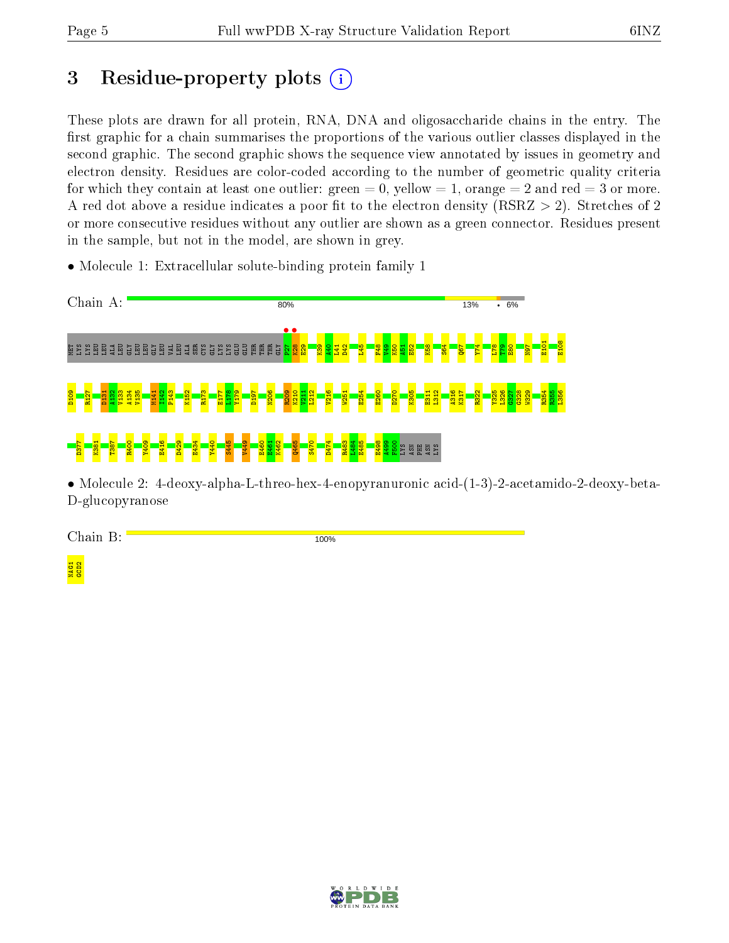# 3 Residue-property plots  $(i)$

These plots are drawn for all protein, RNA, DNA and oligosaccharide chains in the entry. The first graphic for a chain summarises the proportions of the various outlier classes displayed in the second graphic. The second graphic shows the sequence view annotated by issues in geometry and electron density. Residues are color-coded according to the number of geometric quality criteria for which they contain at least one outlier: green  $= 0$ , yellow  $= 1$ , orange  $= 2$  and red  $= 3$  or more. A red dot above a residue indicates a poor fit to the electron density ( $\text{RSRZ} > 2$ ). Stretches of 2 or more consecutive residues without any outlier are shown as a green connector. Residues present in the sample, but not in the model, are shown in grey.

• Molecule 1: Extracellular solute-binding protein family 1



• Molecule 2: 4-deoxy-alpha-L-threo-hex-4-enopyranuronic acid-(1-3)-2-acetamido-2-deoxy-beta-D-glucopyranose

Chain B:

100%

NAG1<br>GCD2

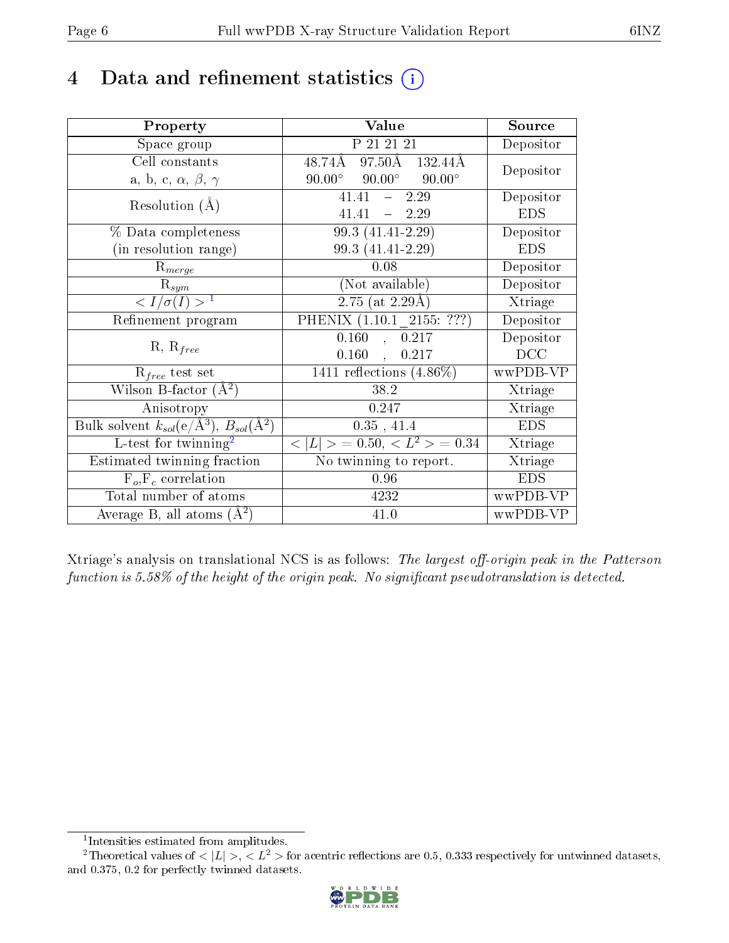## 4 Data and refinement statistics  $(i)$

| Property                                                                 | Value                                            | Source     |
|--------------------------------------------------------------------------|--------------------------------------------------|------------|
| Space group                                                              | P 21 21 21                                       | Depositor  |
| Cell constants                                                           | $97.50\text{\AA}$<br>48.74Å<br>132.44Å           |            |
| a, b, c, $\alpha$ , $\beta$ , $\gamma$                                   | $90.00^{\circ}$ $90.00^{\circ}$<br>$90.00^\circ$ | Depositor  |
| Resolution $(A)$                                                         | 2.29<br>41.41<br>$\frac{1}{2}$                   | Depositor  |
|                                                                          | 41.41<br>$-2.29$                                 | <b>EDS</b> |
| % Data completeness                                                      | 99.3 (41.41-2.29)                                | Depositor  |
| (in resolution range)                                                    | 99.3 (41.41-2.29)                                | <b>EDS</b> |
| $R_{merge}$                                                              | 0.08                                             | Depositor  |
| $\mathrm{R}_{sym}$                                                       | (Not available)                                  | Depositor  |
| $\langle I/\sigma(I) \rangle^{-1}$                                       | $2.75$ (at $2.29\text{\AA}$ )                    | Xtriage    |
| Refinement program                                                       | PHENIX (1.10.1 2155: ???)                        | Depositor  |
|                                                                          | 0.160<br>0.217<br>$\mathbf{A}$                   | Depositor  |
| $R, R_{free}$                                                            | $0.160,$ ,<br>0.217                              | DCC        |
| $R_{free}$ test set                                                      | 1411 reflections $(4.86\%)$                      | wwPDB-VP   |
| Wilson B-factor $(A^2)$                                                  | 38.2                                             | Xtriage    |
| Anisotropy                                                               | 0.247                                            | Xtriage    |
| Bulk solvent $k_{sol}(\mathrm{e}/\mathrm{A}^3),$ $B_{sol}(\mathrm{A}^2)$ | 0.35, 41.4                                       | <b>EDS</b> |
| L-test for twinning <sup>2</sup>                                         | $< L >$ = 0.50, $< L2 >$ = 0.34                  | Xtriage    |
| Estimated twinning fraction                                              | No twinning to report.                           | Xtriage    |
| $F_o, F_c$ correlation                                                   | 0.96                                             | <b>EDS</b> |
| Total number of atoms                                                    | 4232                                             | wwPDB-VP   |
| Average B, all atoms $(A^2)$                                             | 41.0                                             | wwPDB-VP   |

Xtriage's analysis on translational NCS is as follows: The largest off-origin peak in the Patterson function is  $5.58\%$  of the height of the origin peak. No significant pseudotranslation is detected.

<sup>&</sup>lt;sup>2</sup>Theoretical values of  $\langle |L| \rangle$ ,  $\langle L^2 \rangle$  for acentric reflections are 0.5, 0.333 respectively for untwinned datasets, and 0.375, 0.2 for perfectly twinned datasets.



<span id="page-5-1"></span><span id="page-5-0"></span><sup>1</sup> Intensities estimated from amplitudes.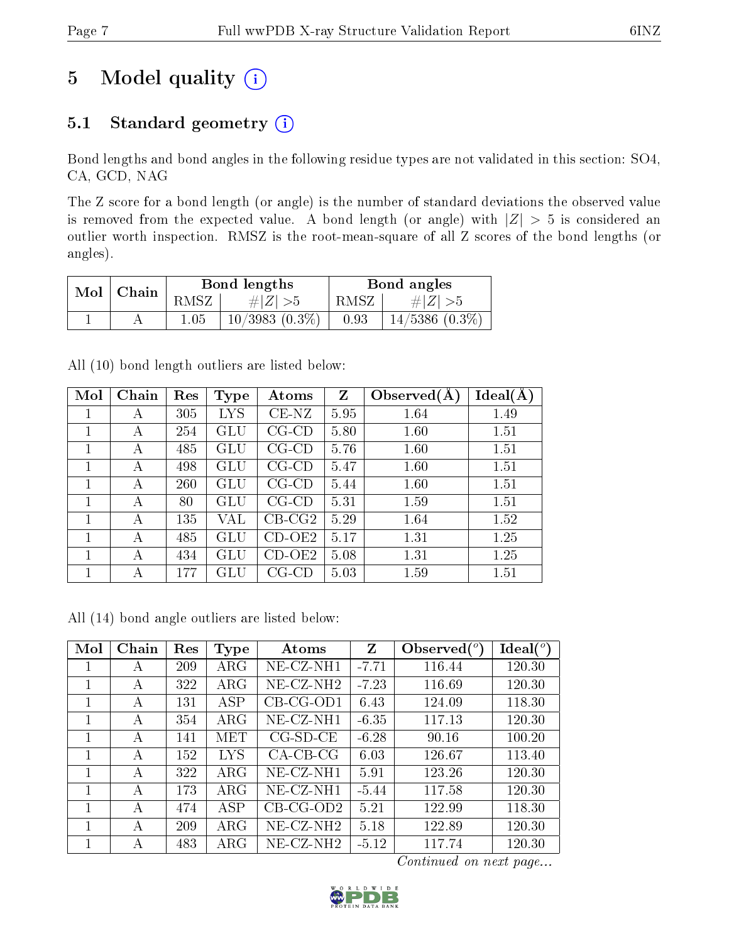# 5 Model quality  $(i)$

## 5.1 Standard geometry  $(i)$

Bond lengths and bond angles in the following residue types are not validated in this section: SO4, CA, GCD, NAG

The Z score for a bond length (or angle) is the number of standard deviations the observed value is removed from the expected value. A bond length (or angle) with  $|Z| > 5$  is considered an outlier worth inspection. RMSZ is the root-mean-square of all Z scores of the bond lengths (or angles).

| Mol | Chain |          | Bond lengths     | Bond angles |                  |  |
|-----|-------|----------|------------------|-------------|------------------|--|
|     |       | RMSZ     | # $ Z  > 5$      | RMSZ        | # Z  > 5         |  |
|     |       | $1.05\,$ | $10/3983(0.3\%)$ | 0.93        | $14/5386(0.3\%)$ |  |

All (10) bond length outliers are listed below:

| Mol | Chain | Res     | <b>Type</b>          | Atoms       | Z    | Observed $(A)$ | Ideal(A |
|-----|-------|---------|----------------------|-------------|------|----------------|---------|
|     | А     | 305     | $_{\mathrm{LYS}}$    | $CE-NZ$     | 5.95 | 1.64           | 1.49    |
| 1   | А     | 254     | GLU                  | $CG$ - $CD$ | 5.80 | 1.60           | 1.51    |
| 1   | А     | 485     | GLU                  | $CG$ - $CD$ | 5.76 | 1.60           | 1.51    |
| 1   | А     | 498     | $\operatorname{GLU}$ | $CG$ - $CD$ | 5.47 | 1.60           | 1.51    |
| 1   | А     | 260     | GLU                  | $CG$ - $CD$ | 5.44 | 1.60           | 1.51    |
| 1   | А     | 80      | GLU                  | $CG$ - $CD$ | 5.31 | 1.59           | 1.51    |
| 1   | А     | 135     | VAL                  | $CB-CG2$    | 5.29 | 1.64           | 1.52    |
| 1   | А     | 485     | GLU                  | $CD-OE2$    | 5.17 | 1.31           | 1.25    |
| 1   | А     | 434     | $\operatorname{GLU}$ | $CD-OE2$    | 5.08 | 1.31           | 1.25    |
| 1   | А     | $177\,$ | GLU                  | CG-CD       | 5.03 | 1.59           | 1.51    |

All (14) bond angle outliers are listed below:

| Mol | Chain        | Res | <b>Type</b> | Atoms                 | $\mathbf{Z}$ | Observed $(°)$ | $Ideal(^o)$ |
|-----|--------------|-----|-------------|-----------------------|--------------|----------------|-------------|
|     | A            | 209 | ${\rm ARG}$ | $NE- CZ-NH1$          | $-7.71$      | 116.44         | 120.30      |
|     | $\mathsf{A}$ | 322 | $\rm{ARG}$  | $NE- CZ-NH2$          | $-7.23$      | 116.69         | 120.30      |
|     | A            | 131 | ASP         | $CB-CG-OD1$           | 6.43         | 124.09         | 118.30      |
|     | $\mathsf{A}$ | 354 | $\rm{ARG}$  | NE-CZ-NH1             | $-6.35$      | 117.13         | 120.30      |
|     | A            | 141 | MET         | $CG-SD-CE$            | $-6.28$      | 90.16          | 100.20      |
| 1   | А            | 152 | <b>LYS</b>  | $CA-CB-CG$            | 6.03         | 126.67         | 113.40      |
| 1   | А            | 322 | $\rm{ARG}$  | $NE- CZ-NH1$          | 5.91         | 123.26         | 120.30      |
| 1   | А            | 173 | $\rm{ARG}$  | $NE$ -CZ-NH1          | $-5.44$      | 117.58         | 120.30      |
| 1   | А            | 474 | ASP         | $CB-CG-OD2$           | 5.21         | 122.99         | 118.30      |
| 1   | А            | 209 | ${\rm ARG}$ | NE-CZ-NH <sub>2</sub> | 5.18         | 122.89         | 120.30      |
|     | А            | 483 | $\rm{ARG}$  | NE-CZ-NH <sub>2</sub> | $-5.12$      | 117.74         | 120.30      |

Continued on next page...

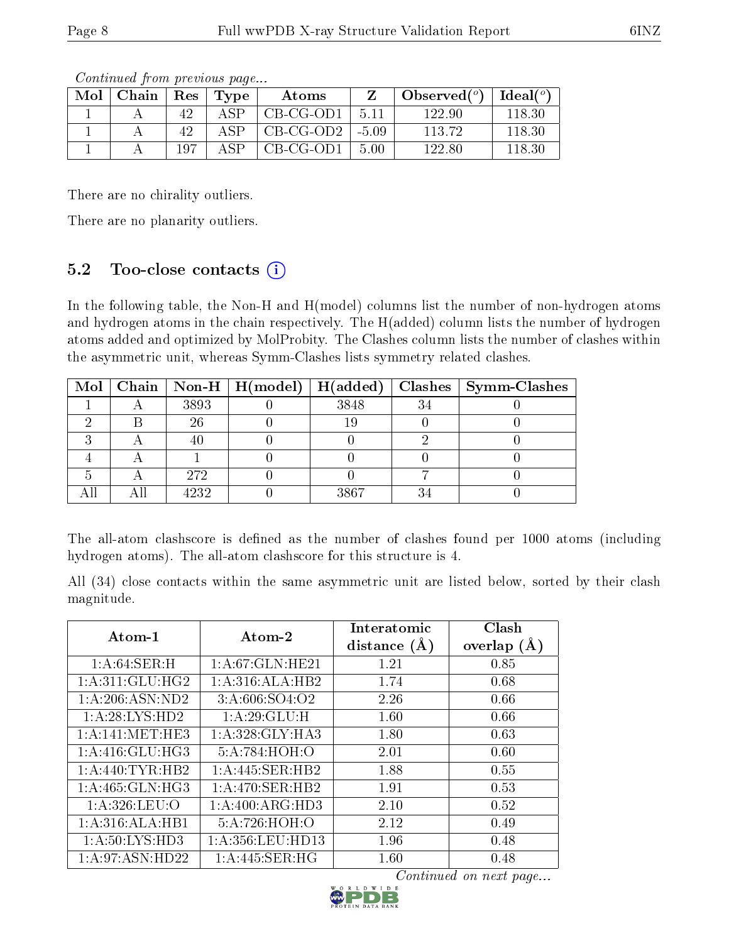| Mol | Chain   Res |     | Type | Atoms       |       | Observed( $^{\circ}$ )   Ideal( $^{\circ}$ ) |        |
|-----|-------------|-----|------|-------------|-------|----------------------------------------------|--------|
|     |             | 42  | ΔSΡ  | $CB-CG-OD1$ | 5.11  | 122.90                                       | 118.30 |
|     |             | 42  | ΔSΡ  | CB-CG-OD2   | -5.09 | 113.72                                       | 118.30 |
|     |             | 107 | A SP | CB-CG-OD1   | 5.00  | 122.80                                       | 118.30 |

Continued from previous page...

There are no chirality outliers.

There are no planarity outliers.

### 5.2 Too-close contacts  $(i)$

In the following table, the Non-H and H(model) columns list the number of non-hydrogen atoms and hydrogen atoms in the chain respectively. The H(added) column lists the number of hydrogen atoms added and optimized by MolProbity. The Clashes column lists the number of clashes within the asymmetric unit, whereas Symm-Clashes lists symmetry related clashes.

|  |      |      |    | Mol   Chain   Non-H   H(model)   H(added)   Clashes   Symm-Clashes |
|--|------|------|----|--------------------------------------------------------------------|
|  | 3893 | 3848 | 27 |                                                                    |
|  | 26   |      |    |                                                                    |
|  |      |      |    |                                                                    |
|  |      |      |    |                                                                    |
|  | 272  |      |    |                                                                    |
|  | 4232 | 3867 |    |                                                                    |

The all-atom clashscore is defined as the number of clashes found per 1000 atoms (including hydrogen atoms). The all-atom clashscore for this structure is 4.

All (34) close contacts within the same asymmetric unit are listed below, sorted by their clash magnitude.

| Atom-1              | Atom-2                       | Interatomic<br>distance $(A)$ | Clash<br>overlap<br>(A) |
|---------------------|------------------------------|-------------------------------|-------------------------|
| 1: A:64:SER:H       | 1: A:67: GLN:HE21            | 1.21                          | 0.85                    |
| 1: A:311: GLU: HG2  | 1:A:316:ALA:HB2              | 1.74                          | 0.68                    |
| 1:A:206:ASN:ND2     | 3:A:606:SO4:O2               | 2.26                          | 0.66                    |
| 1:A:28:LYS:HD2      | 1:A:29:GLU:H                 | 1.60                          | 0.66                    |
| 1: A:141: MET:HE3   | $1:A:328:GLY:H\overline{A3}$ | 1.80                          | 0.63                    |
| 1: A:416: GLU: HG3  | 5:A:784:HOH:O                | 2.01                          | 0.60                    |
| 1: A:440: TYR:HB2   | 1:A:445:SER:HB2              | 1.88                          | 0.55                    |
| 1: A: 465: GLN: HG3 | 1: A:470: SER:HB2            | 1.91                          | 0.53                    |
| 1: A:326:LEU:O      | 1: A:400: ARG:HD3            | 2.10                          | 0.52                    |
| 1: A:316: ALA:HB1   | 5:A:726:HOH:O                | 2.12                          | 0.49                    |
| 1: A:50: LYS: HD3   | 1:A:356:LEU:HD13             | 1.96                          | 0.48                    |
| 1:A:97:ASN:HD22     | 1:A:445:SER:HG               | 1.60                          | 0.48                    |

Continued on next page...

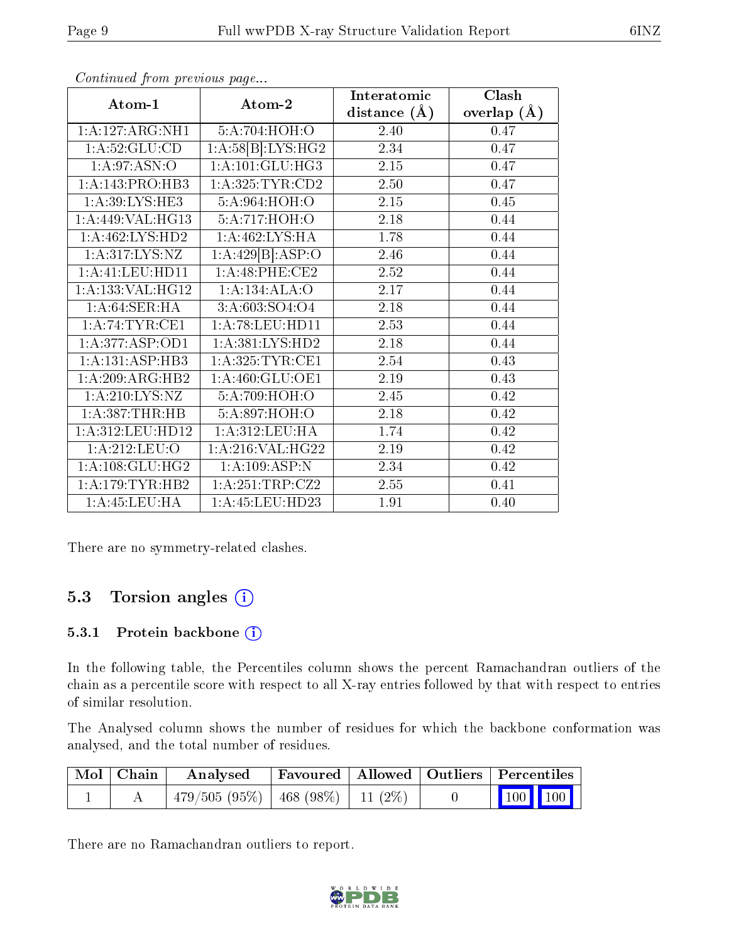|                    |                              | <b>Interatomic</b> | Clash         |
|--------------------|------------------------------|--------------------|---------------|
| Atom-1             | Atom-2                       | distance $(A)$     | overlap $(A)$ |
| 1:A:127:ARG:NH1    | 5:A:704:HOH:O                | 2.40               | 0.47          |
| 1: A:52: GLU:CD    | 1:A:58[B]:LYS:HG2            | 2.34               | 0.47          |
| 1: A:97: ASN:O     | $1:A:101:GLU:H\overline{G3}$ | 2.15               | 0.47          |
| 1:A:143:PRO:HB3    | 1:A:325:TYR:CD2              | 2.50               | 0.47          |
| 1: A:39: LYS: HE3  | 5:A:964:HOH:O                | 2.15               | 0.45          |
| 1: A:449: VAL:HG13 | 5:A:717:HOH:O                | 2.18               | 0.44          |
| 1:A:462:LYS:HD2    | 1:A:462:LYS:HA               | 1.78               | 0.44          |
| 1: A:317: LYS: NZ  | 1:A:429[B]:AST:O             | 2.46               | 0.44          |
| 1:A:41:LEU:HD11    | 1: A:48:PHE:CE2              | 2.52               | 0.44          |
| 1:A:133:VAL:HG12   | 1:A:134:ALA:O                | 2.17               | 0.44          |
| 1: A:64:SER:HA     | 3:A:603:SO4:O4               | 2.18               | 0.44          |
| 1:A:74:TYR:CE1     | 1:A:78:LEU:HDI1              | 2.53               | 0.44          |
| 1: A:377: ASP:OD1  | 1: A: 381: LYS: HD2          | 2.18               | 0.44          |
| 1:A:131:ASP:HB3    | 1: A:325: TYR: CE1           | 2.54               | 0.43          |
| 1:A:209:ARG:HB2    | 1: A:460: GLU:OE1            | 2.19               | 0.43          |
| 1:A:210:LYS:NZ     | 5:A:709:HOH:O                | 2.45               | 0.42          |
| 1:A:387:THR:HB     | 5:A:897:HOH:O                | 2.18               | 0.42          |
| 1:A:312:LEU:HD12   | 1: A:312:LEU:HA              | 1.74               | 0.42          |
| 1:A:212:LEU:O      | 1:A:216:VAL:HG22             | 2.19               | 0.42          |
| 1: A:108: GLU:HG2  | 1:A:109:ASP:N                | 2.34               | 0.42          |
| 1: A:179: TYR: HB2 | 1: A:251:TRP: CZ2            | $\overline{2.55}$  | 0.41          |
| 1:A:45:LEU:HA      | 1:A:45:LEU:HD23              | 1.91               | 0.40          |

Continued from previous page...

There are no symmetry-related clashes.

### 5.3 Torsion angles (i)

#### 5.3.1 Protein backbone (i)

In the following table, the Percentiles column shows the percent Ramachandran outliers of the chain as a percentile score with respect to all X-ray entries followed by that with respect to entries of similar resolution.

The Analysed column shows the number of residues for which the backbone conformation was analysed, and the total number of residues.

| $\boxed{\text{Mol}}$ Chain | Analysed                                |  | Favoured   Allowed   Outliers   Percentiles |
|----------------------------|-----------------------------------------|--|---------------------------------------------|
|                            | $479/505(95\%)$   468 (98\%)   11 (2\%) |  | $\vert$ 100 100 $\vert$                     |

There are no Ramachandran outliers to report.

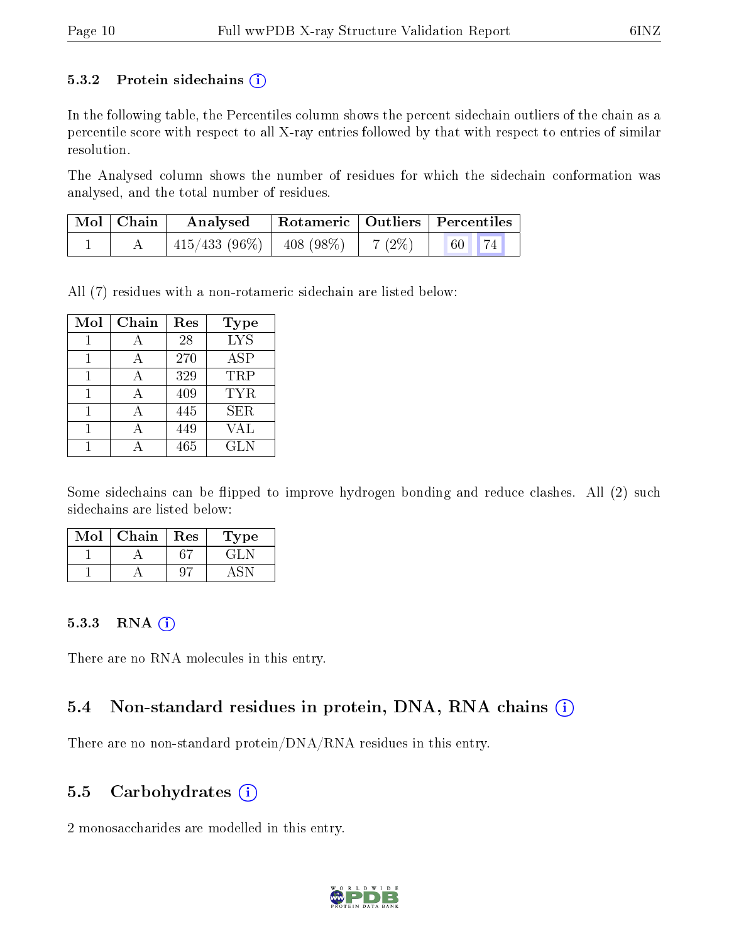#### 5.3.2 Protein sidechains  $(i)$

In the following table, the Percentiles column shows the percent sidechain outliers of the chain as a percentile score with respect to all X-ray entries followed by that with respect to entries of similar resolution.

The Analysed column shows the number of residues for which the sidechain conformation was analysed, and the total number of residues.

| $\mid$ Mol $\mid$ Chain | Analysed                                | Rotameric   Outliers   Percentiles |       |  |
|-------------------------|-----------------------------------------|------------------------------------|-------|--|
|                         | $415/433$ (96\%)   408 (98\%)   7 (2\%) |                                    | 60 74 |  |

All (7) residues with a non-rotameric sidechain are listed below:

| Mol | Chain          | Res | Type       |
|-----|----------------|-----|------------|
|     |                | 28  | <b>LYS</b> |
|     | $\overline{A}$ | 270 | ASP        |
|     |                | 329 | TRP        |
|     |                | 409 | <b>TYR</b> |
|     | А              | 445 | <b>SER</b> |
|     |                | 449 | VAL        |
|     |                | 465 | GLN        |

Some sidechains can be flipped to improve hydrogen bonding and reduce clashes. All (2) such sidechains are listed below:

| $\operatorname{Mol}$ | Chain | $\operatorname{Res}% \left( \mathcal{N}\right) \equiv\operatorname{Res}(\mathcal{N}_{0})\left( \mathcal{N}_{0}\right) ^{2}$ | Type |
|----------------------|-------|-----------------------------------------------------------------------------------------------------------------------------|------|
|                      |       |                                                                                                                             | 고 보다 |
|                      |       |                                                                                                                             |      |

#### 5.3.3 RNA (i)

There are no RNA molecules in this entry.

### 5.4 Non-standard residues in protein, DNA, RNA chains (i)

There are no non-standard protein/DNA/RNA residues in this entry.

### 5.5 Carbohydrates  $(i)$

2 monosaccharides are modelled in this entry.

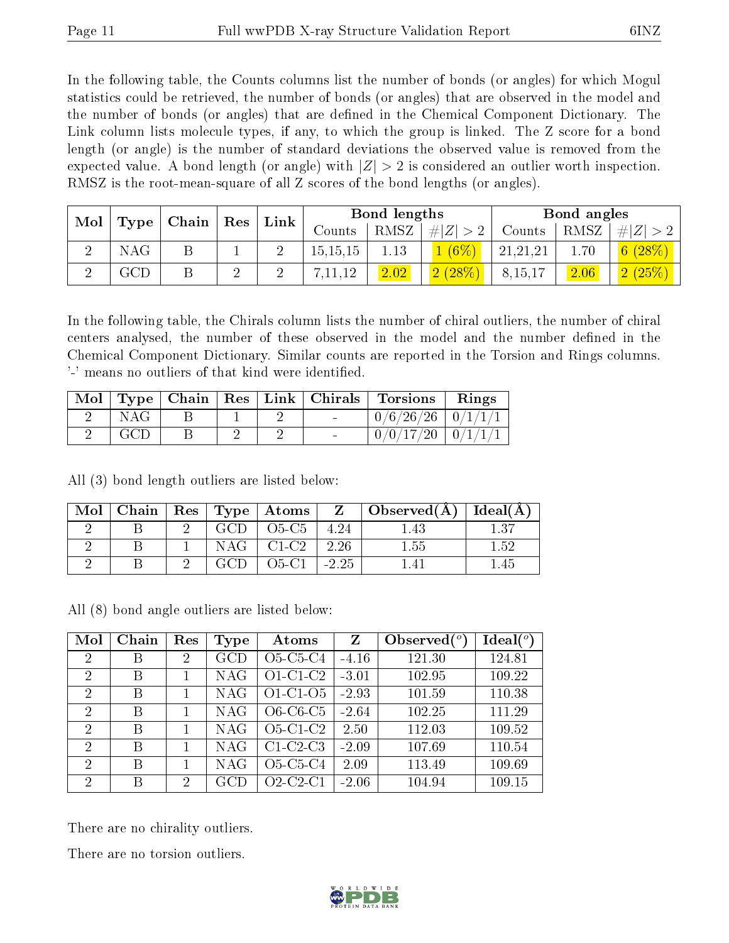In the following table, the Counts columns list the number of bonds (or angles) for which Mogul statistics could be retrieved, the number of bonds (or angles) that are observed in the model and the number of bonds (or angles) that are dened in the Chemical Component Dictionary. The Link column lists molecule types, if any, to which the group is linked. The Z score for a bond length (or angle) is the number of standard deviations the observed value is removed from the expected value. A bond length (or angle) with  $|Z| > 2$  is considered an outlier worth inspection. RMSZ is the root-mean-square of all Z scores of the bond lengths (or angles).

| Mol | $\mid$ Type $\mid$ Chain $\mid$ | Link<br>$\mid$ Res |  |            | Bond lengths |                         |          | Bond angles |         |
|-----|---------------------------------|--------------------|--|------------|--------------|-------------------------|----------|-------------|---------|
|     |                                 |                    |  | Counts     | RMSZ         | # Z                     | Counts   | RMSZ        | $\# Z $ |
|     | $\rm NAG$                       |                    |  | 15, 15, 15 | 1.13         | $(6\%)$<br>$\mathbf{1}$ | 21,21,21 | 1.70        | (28%)   |
|     | GCT                             |                    |  | ,11,12     | 2.02         | 2(28%)                  | 8,15,17  | 2.06        | $25\%$  |

In the following table, the Chirals column lists the number of chiral outliers, the number of chiral centers analysed, the number of these observed in the model and the number defined in the Chemical Component Dictionary. Similar counts are reported in the Torsion and Rings columns. '-' means no outliers of that kind were identified.

|     |  |  | Mol   Type   Chain   Res   Link   Chirals   Torsions | Rings |
|-----|--|--|------------------------------------------------------|-------|
| NAG |  |  | $0/6/26/26$   $0/1/1/1$                              |       |
| GCD |  |  | $0/0/17/20$   $0/1/1/1$                              |       |

All (3) bond length outliers are listed below:

| Mol |  |     |                 |         | Chain   Res   Type   Atoms   Z   Observed(A)   Ideal(A) |      |
|-----|--|-----|-----------------|---------|---------------------------------------------------------|------|
|     |  | GCD | $O5-C5$         | 4.24    |                                                         | 137  |
|     |  |     | $NAG$   $C1-C2$ | 2.26    | $1.55\,$                                                | 1.52 |
|     |  |     | O5-C1-          | $-2.25$ |                                                         |      |

All (8) bond angle outliers are listed below:

| Mol                         | Chain | Res            | <b>Type</b> | Atoms                                           | Z       | Observed $\binom{o}{c}$ | Ideal $(°)$ |
|-----------------------------|-------|----------------|-------------|-------------------------------------------------|---------|-------------------------|-------------|
| $\overline{2}$              | Β     | $\overline{2}$ | GCD         | O <sub>5</sub> -C <sub>5</sub> -C <sub>4</sub>  | $-4.16$ | 121.30                  | 124.81      |
| 2                           | В     |                | NAG         | $O1-C1-C2$                                      | $-3.01$ | 102.95                  | 109.22      |
| $\overline{2}$              | В     |                | NAG         | $O1-C1-O5$                                      | $-2.93$ | 101.59                  | 110.38      |
| 2                           | В     |                | NAG         | $O6-C6-C5$                                      | $-2.64$ | 102.25                  | 111.29      |
| $\overline{2}$              | В     |                | NAG         | $O5-C1-C2$                                      | 2.50    | 112.03                  | 109.52      |
| $\overline{2}$              | В     |                | NAG         | $C1-C2-C3$                                      | $-2.09$ | 107.69                  | 110.54      |
| $\mathcal{D}_{\mathcal{L}}$ | В     |                | NAG         | $O5-C5-C4$                                      | 2.09    | 113.49                  | 109.69      |
| $\overline{2}$              | В     | 2              | GCD         | $\overline{O}2$ -C <sub>2</sub> -C <sub>1</sub> | $-2.06$ | 104.94                  | 109.15      |

There are no chirality outliers.

There are no torsion outliers.

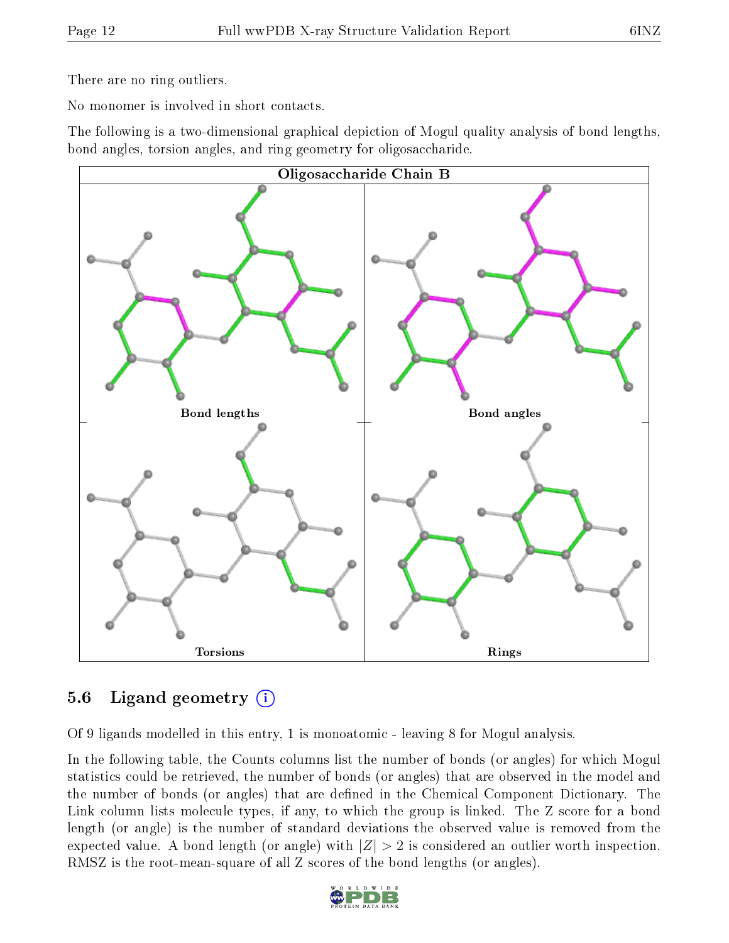There are no ring outliers.

No monomer is involved in short contacts.

The following is a two-dimensional graphical depiction of Mogul quality analysis of bond lengths, bond angles, torsion angles, and ring geometry for oligosaccharide.



### 5.6 Ligand geometry (i)

Of 9 ligands modelled in this entry, 1 is monoatomic - leaving 8 for Mogul analysis.

In the following table, the Counts columns list the number of bonds (or angles) for which Mogul statistics could be retrieved, the number of bonds (or angles) that are observed in the model and the number of bonds (or angles) that are dened in the Chemical Component Dictionary. The Link column lists molecule types, if any, to which the group is linked. The Z score for a bond length (or angle) is the number of standard deviations the observed value is removed from the expected value. A bond length (or angle) with  $|Z| > 2$  is considered an outlier worth inspection. RMSZ is the root-mean-square of all Z scores of the bond lengths (or angles).

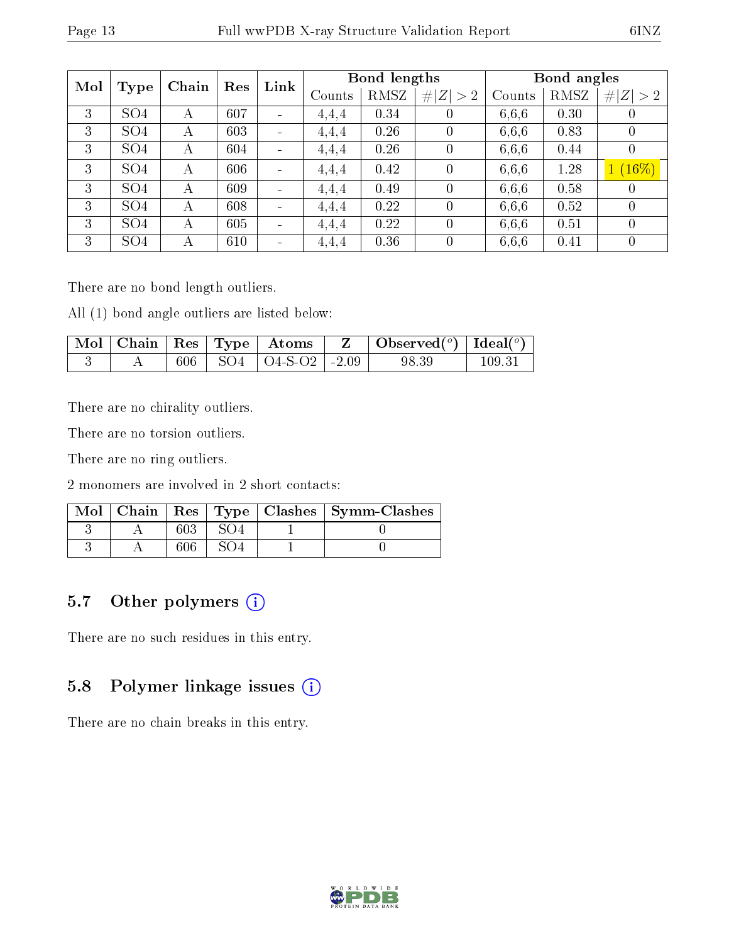| Mol |                 | Chain |     | Link<br>Res              |        | Bond lengths |             |        | Bond angles |                  |  |
|-----|-----------------|-------|-----|--------------------------|--------|--------------|-------------|--------|-------------|------------------|--|
|     | Type            |       |     |                          | Counts | RMSZ         | # $ Z  > 2$ | Counts | RMSZ        | # $ Z  > 2$      |  |
| 3   | SO <sub>4</sub> | А     | 607 | $\overline{\phantom{a}}$ | 4,4,4  | 0.34         |             | 6,6,6  | 0.30        | U                |  |
| 3   | SO <sub>4</sub> | А     | 603 | $\equiv$                 | 4,4,4  | 0.26         | $\Omega$    | 6,6,6  | 0.83        | 0                |  |
| 3   | SO <sub>4</sub> | А     | 604 | $\blacksquare$           | 4,4,4  | 0.26         |             | 6,6,6  | 0.44        | 0                |  |
| 3   | SO <sub>4</sub> | А     | 606 | $\blacksquare$           | 4,4,4  | 0.42         | $\theta$    | 6,6,6  | 1.28        | $1(16\%)$        |  |
| 3   | SO <sub>4</sub> | А     | 609 | $\blacksquare$           | 4,4,4  | 0.49         | $\theta$    | 6.6.6  | 0.58        | $\left( \right)$ |  |
| 3   | SO <sub>4</sub> | А     | 608 | $\overline{\phantom{a}}$ | 4,4,4  | 0.22         | $\theta$    | 6,6,6  | 0.52        | $\overline{0}$   |  |
| 3   | SO <sub>4</sub> | А     | 605 | $\blacksquare$           | 4,4,4  | 0.22         | $\theta$    | 6,6,6  | 0.51        | 0                |  |
| 3   | SO <sub>4</sub> | А     | 610 | $\blacksquare$           | 4.4.4  | 0.36         | $\theta$    | 6,6,6  | 0.41        | $\left( \right)$ |  |

There are no bond length outliers.

All (1) bond angle outliers are listed below:

|  |     |                                           | $\boxed{\text{Mol} \mid \text{Chain} \mid \text{Res} \mid \text{Type} \mid \text{Atoms} \mid Z \mid \text{Observed}(^o) \mid \text{Ideal}(^o)}$ |           |
|--|-----|-------------------------------------------|-------------------------------------------------------------------------------------------------------------------------------------------------|-----------|
|  | 606 | $\perp$ SO4 $\perp$ O4-S-O2 $\perp$ -2.09 | 98.39                                                                                                                                           | $109.3$ . |

There are no chirality outliers.

There are no torsion outliers.

There are no ring outliers.

2 monomers are involved in 2 short contacts:

|  |  | Mol   Chain   Res   Type   Clashes   Symm-Clashes |
|--|--|---------------------------------------------------|
|  |  |                                                   |
|  |  |                                                   |

### 5.7 [O](https://www.wwpdb.org/validation/2017/XrayValidationReportHelp#nonstandard_residues_and_ligands)ther polymers (i)

There are no such residues in this entry.

#### 5.8 Polymer linkage issues (i)

There are no chain breaks in this entry.

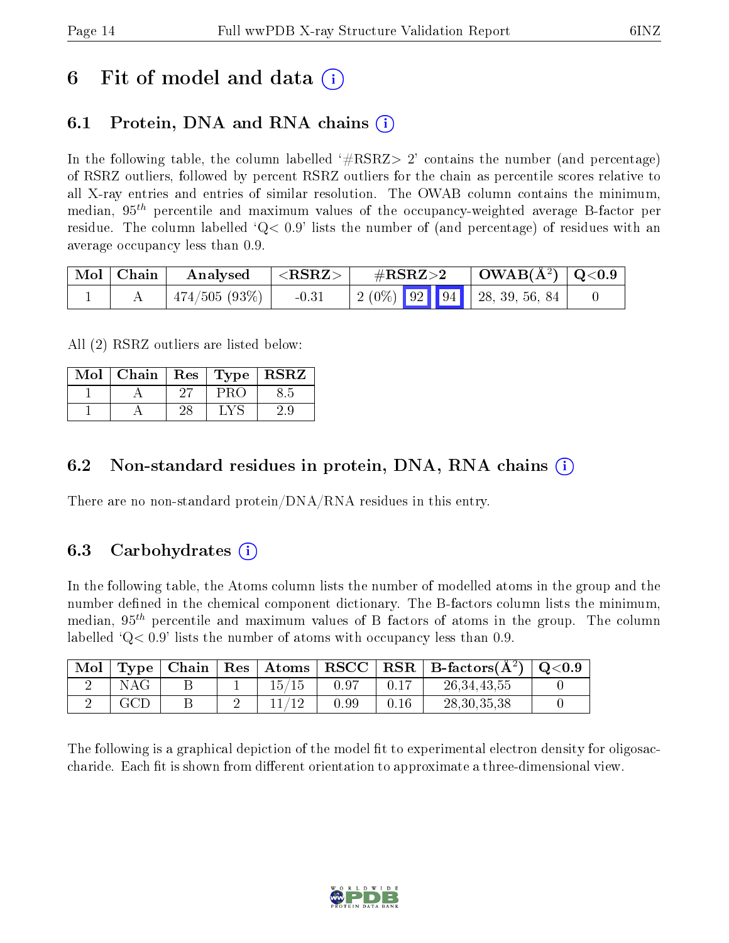## 6 Fit of model and data  $\left( \cdot \right)$

## 6.1 Protein, DNA and RNA chains (i)

In the following table, the column labelled  $#RSRZ> 2'$  contains the number (and percentage) of RSRZ outliers, followed by percent RSRZ outliers for the chain as percentile scores relative to all X-ray entries and entries of similar resolution. The OWAB column contains the minimum, median,  $95<sup>th</sup>$  percentile and maximum values of the occupancy-weighted average B-factor per residue. The column labelled  $Q < 0.9$  lists the number of (and percentage) of residues with an average occupancy less than 0.9.

| Mol   Chain | Analysed        | $^+$ $<$ $\mathrm{RSRZ}$ $>$ | $\rm \#RSRZ{>}2$                                                                                | $\mid$ OWAB(Å <sup>2</sup> ) $\mid$ Q<0.9 |  |
|-------------|-----------------|------------------------------|-------------------------------------------------------------------------------------------------|-------------------------------------------|--|
|             | $474/505(93\%)$ | $-0.31$                      | $\begin{array}{ c c c c c c c c } \hline 2 & 0\% & 92 & 94 & 28, 39, 56, 84 \hline \end{array}$ |                                           |  |

All (2) RSRZ outliers are listed below:

| Mol | Chain   Res   Type |                  | $\vert$ RSRZ |
|-----|--------------------|------------------|--------------|
|     |                    | $\mathcal{P}R()$ | ర ని         |
|     |                    |                  |              |

## 6.2 Non-standard residues in protein, DNA, RNA chains  $(i)$

There are no non-standard protein/DNA/RNA residues in this entry.

### 6.3 Carbohydrates (i)

In the following table, the Atoms column lists the number of modelled atoms in the group and the number defined in the chemical component dictionary. The B-factors column lists the minimum, median,  $95<sup>th</sup>$  percentile and maximum values of B factors of atoms in the group. The column labelled  $Q< 0.9$  lists the number of atoms with occupancy less than 0.9.

| Mol |     |  | Type   Chain   Res   Atoms |      |      | $\mid$ RSCC $\mid$ RSR $\mid$ B-factors( $A^2$ ) | $\rm{O} \textcolor{black}{<} 0.9$ |
|-----|-----|--|----------------------------|------|------|--------------------------------------------------|-----------------------------------|
|     | NAG |  |                            | 0.97 |      | 26, 34, 43, 55                                   |                                   |
|     | GCD |  |                            | 0.99 | 0.16 | 28, 30, 35, 38                                   |                                   |

The following is a graphical depiction of the model fit to experimental electron density for oligosaccharide. Each fit is shown from different orientation to approximate a three-dimensional view.

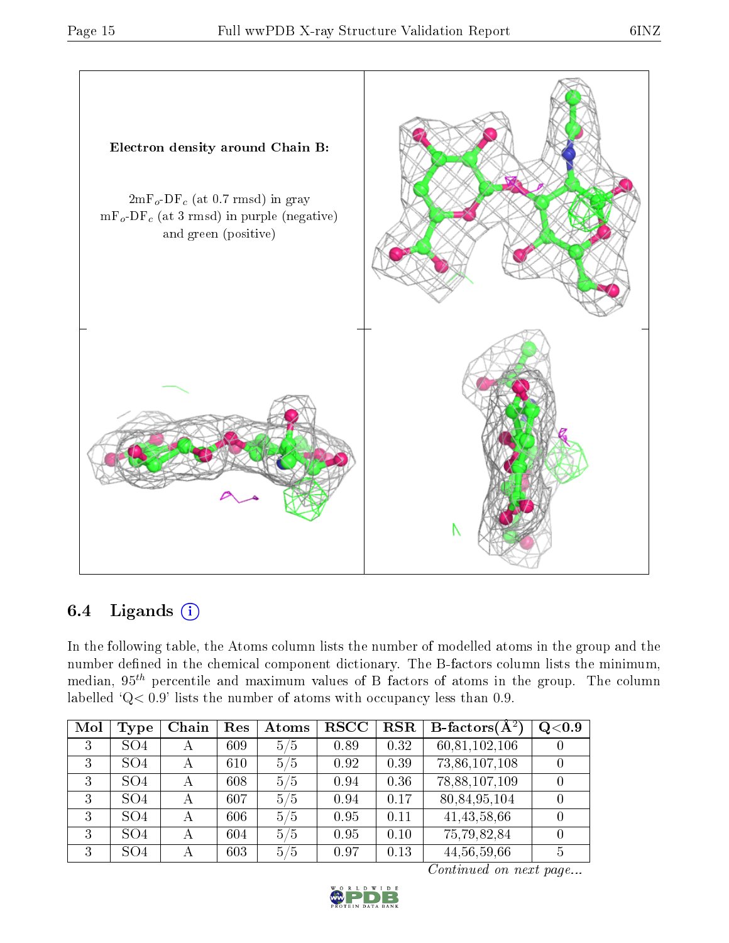

## 6.4 Ligands  $(i)$

In the following table, the Atoms column lists the number of modelled atoms in the group and the number defined in the chemical component dictionary. The B-factors column lists the minimum, median,  $95<sup>th</sup>$  percentile and maximum values of B factors of atoms in the group. The column labelled ' $Q< 0.9$ ' lists the number of atoms with occupancy less than 0.9.

| Mol | Type            | Chain | Res | Atoms | $_{\rm RSCC}$ | <b>RSR</b> | $B\text{-}factors(\AA^2)$ | Q <sub>0.9</sub> |
|-----|-----------------|-------|-----|-------|---------------|------------|---------------------------|------------------|
| 3   | SO <sub>4</sub> | А     | 609 | 5/5   | 0.89          | 0.32       | 60,81,102,106             |                  |
| 3   | SO <sub>4</sub> | А     | 610 | 5/5   | 0.92          | 0.39       | 73,86,107,108             | 0                |
| 3   | SO <sub>4</sub> | А     | 608 | 5/5   | 0.94          | 0.36       | 78, 88, 107, 109          |                  |
| 3   | SO <sub>4</sub> | А     | 607 | 5/5   | 0.94          | 0.17       | 80,84,95,104              |                  |
| 3   | SO <sub>4</sub> | А     | 606 | 5/5   | 0.95          | 0.11       | 41, 43, 58, 66            | $\left( \right)$ |
| 3   | SO <sub>4</sub> | А     | 604 | 5/5   | 0.95          | 0.10       | 75,79,82,84               |                  |
| 3   | SO <sub>4</sub> | А     | 603 | 5/5   | 0.97          | 0.13       | 44, 56, 59, 66            | 5                |

Continued on next page...